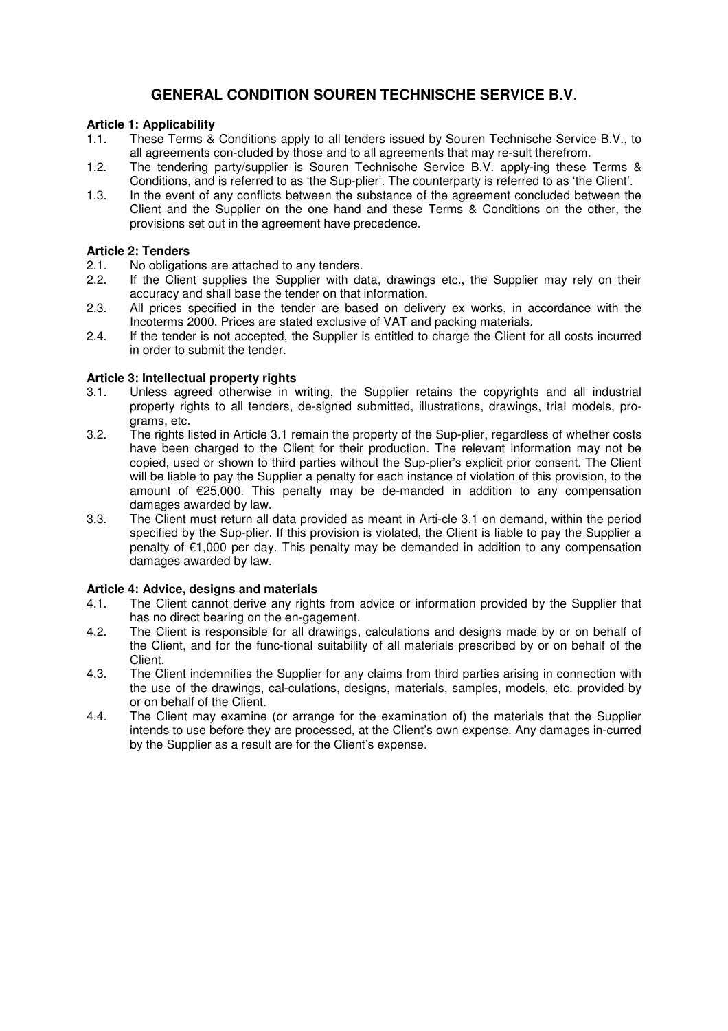# **GENERAL CONDITION SOUREN TECHNISCHE SERVICE B.V**.

# **Article 1: Applicability**

- 1.1. These Terms & Conditions apply to all tenders issued by Souren Technische Service B.V., to all agreements con-cluded by those and to all agreements that may re-sult therefrom.
- 1.2. The tendering party/supplier is Souren Technische Service B.V. apply-ing these Terms & Conditions, and is referred to as 'the Sup-plier'. The counterparty is referred to as 'the Client'.
- 1.3. In the event of any conflicts between the substance of the agreement concluded between the Client and the Supplier on the one hand and these Terms & Conditions on the other, the provisions set out in the agreement have precedence.

# **Article 2: Tenders**

- 2.1. No obligations are attached to any tenders.
- 2.2. If the Client supplies the Supplier with data, drawings etc., the Supplier may rely on their accuracy and shall base the tender on that information.<br>2.3. All prices specified in the tender are based on delive
- All prices specified in the tender are based on delivery ex works, in accordance with the Incoterms 2000. Prices are stated exclusive of VAT and packing materials.
- 2.4. If the tender is not accepted, the Supplier is entitled to charge the Client for all costs incurred in order to submit the tender.

# **Article 3: Intellectual property rights**

- 3.1. Unless agreed otherwise in writing, the Supplier retains the copyrights and all industrial property rights to all tenders, de-signed submitted, illustrations, drawings, trial models, pro grams, etc.<br>3.2. The rights li
- The rights listed in Article 3.1 remain the property of the Sup-plier, regardless of whether costs have been charged to the Client for their production. The relevant information may not be copied, used or shown to third parties without the Sup-plier's explicit prior consent. The Client will be liable to pay the Supplier a penalty for each instance of violation of this provision, to the amount of €25,000. This penalty may be de-manded in addition to any compensation damages awarded by law.
- 3.3. The Client must return all data provided as meant in Arti-cle 3.1 on demand, within the period specified by the Sup-plier. If this provision is violated, the Client is liable to pay the Supplier a penalty of €1,000 per day. This penalty may be demanded in addition to any compensation damages awarded by law.

# **Article 4: Advice, designs and materials**

- 4.1. The Client cannot derive any rights from advice or information provided by the Supplier that has no direct bearing on the en-gagement.
- 4.2. The Client is responsible for all drawings, calculations and designs made by or on behalf of the Client, and for the func-tional suitability of all materials prescribed by or on behalf of the Client.
- 4.3. The Client indemnifies the Supplier for any claims from third parties arising in connection with the use of the drawings, cal-culations, designs, materials, samples, models, etc. provided by or on behalf of the Client.<br>4.4. The Client may examine
- The Client may examine (or arrange for the examination of) the materials that the Supplier intends to use before they are processed, at the Client's own expense. Any damages in-curred by the Supplier as a result are for the Client's expense.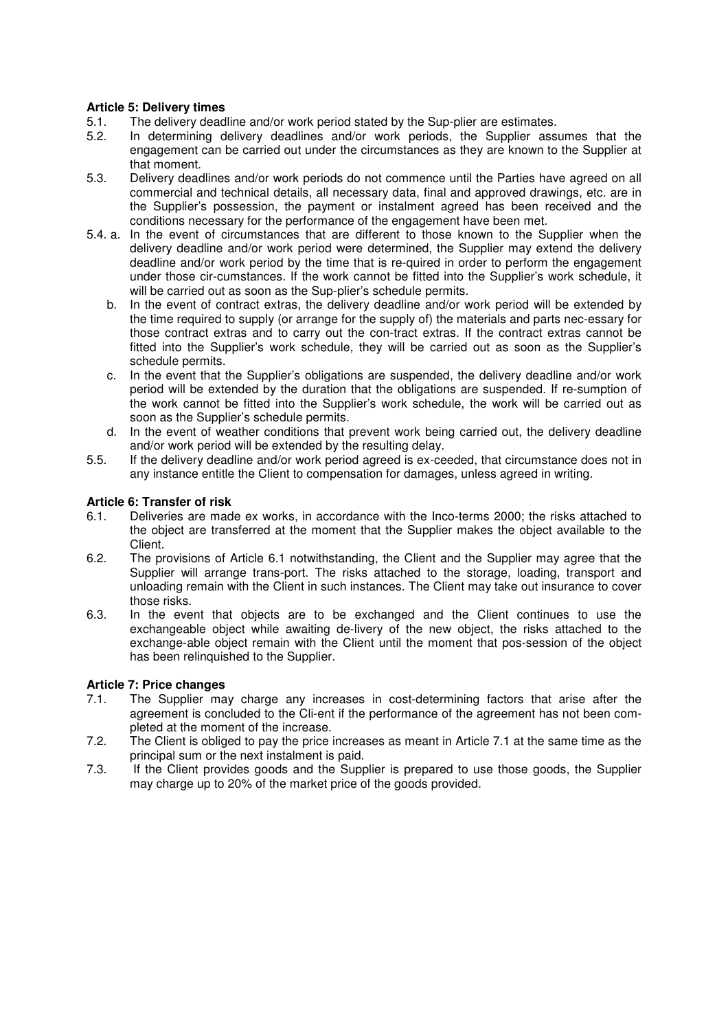# **Article 5: Delivery times**

- 5.1. The delivery deadline and/or work period stated by the Sup-plier are estimates.<br>5.2. In determining delivery deadlines and/or work periods, the Supplier assi
- In determining delivery deadlines and/or work periods, the Supplier assumes that the engagement can be carried out under the circumstances as they are known to the Supplier at that moment.
- 5.3. Delivery deadlines and/or work periods do not commence until the Parties have agreed on all commercial and technical details, all necessary data, final and approved drawings, etc. are in the Supplier's possession, the payment or instalment agreed has been received and the conditions necessary for the performance of the engagement have been met.
- 5.4. a. In the event of circumstances that are different to those known to the Supplier when the delivery deadline and/or work period were determined, the Supplier may extend the delivery deadline and/or work period by the time that is re-quired in order to perform the engagement under those cir-cumstances. If the work cannot be fitted into the Supplier's work schedule, it will be carried out as soon as the Sup-plier's schedule permits.
	- b. In the event of contract extras, the delivery deadline and/or work period will be extended by the time required to supply (or arrange for the supply of) the materials and parts nec-essary for those contract extras and to carry out the con-tract extras. If the contract extras cannot be fitted into the Supplier's work schedule, they will be carried out as soon as the Supplier's schedule permits.
	- c. In the event that the Supplier's obligations are suspended, the delivery deadline and/or work period will be extended by the duration that the obligations are suspended. If re-sumption of the work cannot be fitted into the Supplier's work schedule, the work will be carried out as soon as the Supplier's schedule permits.
	- d. In the event of weather conditions that prevent work being carried out, the delivery deadline and/or work period will be extended by the resulting delay.
- 5.5. If the delivery deadline and/or work period agreed is ex-ceeded, that circumstance does not in any instance entitle the Client to compensation for damages, unless agreed in writing.

# **Article 6: Transfer of risk**

- 6.1. Deliveries are made ex works, in accordance with the Inco-terms 2000; the risks attached to the object are transferred at the moment that the Supplier makes the object available to the Client.<br>62 The pr
- The provisions of Article 6.1 notwithstanding, the Client and the Supplier may agree that the Supplier will arrange trans-port. The risks attached to the storage, loading, transport and unloading remain with the Client in such instances. The Client may take out insurance to cover those risks.
- 6.3. In the event that objects are to be exchanged and the Client continues to use the exchangeable object while awaiting de-livery of the new object, the risks attached to the exchange-able object remain with the Client until the moment that pos-session of the object has been relinquished to the Supplier.

# **Article 7: Price changes**

- 7.1. The Supplier may charge any increases in cost-determining factors that arise after the agreement is concluded to the Cli-ent if the performance of the agreement has not been com pleted at the moment of the increase.<br>7.2. The Client is obliged to pay the price is
- The Client is obliged to pay the price increases as meant in Article 7.1 at the same time as the principal sum or the next instalment is paid.<br>7.3. If the Client provides goods and the Supp
- If the Client provides goods and the Supplier is prepared to use those goods, the Supplier may charge up to 20% of the market price of the goods provided.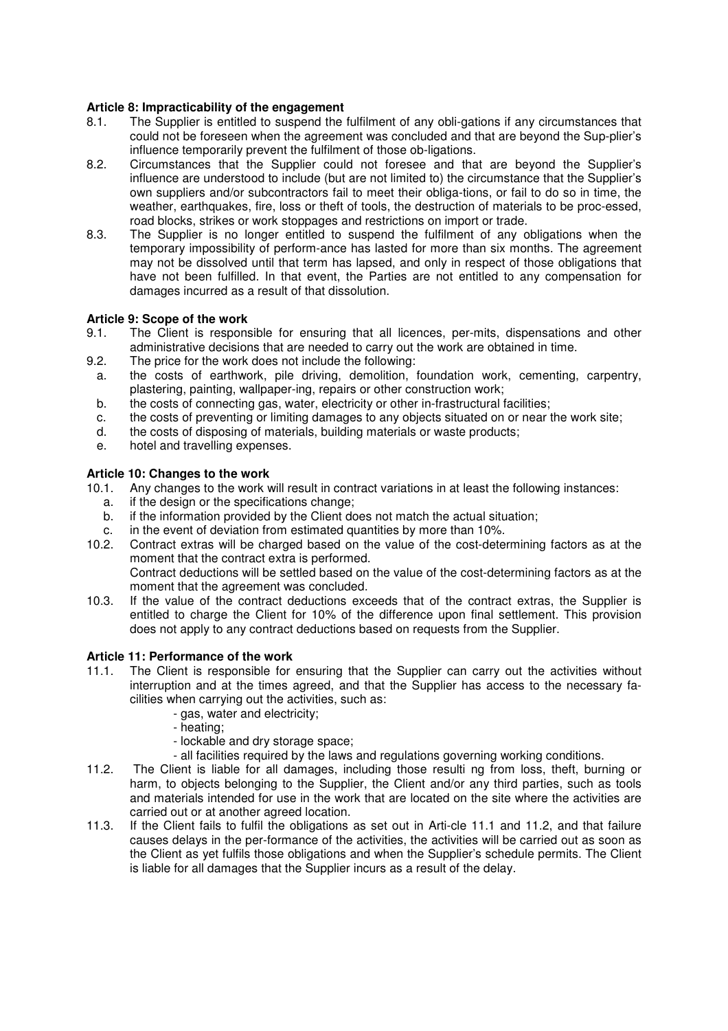# **Article 8: Impracticability of the engagement**

- 8.1. The Supplier is entitled to suspend the fulfilment of any obli-gations if any circumstances that could not be foreseen when the agreement was concluded and that are beyond the Sup-plier's influence temporarily prevent the fulfilment of those ob-ligations.
- 8.2. Circumstances that the Supplier could not foresee and that are beyond the Supplier's influence are understood to include (but are not limited to) the circumstance that the Supplier's own suppliers and/or subcontractors fail to meet their obliga-tions, or fail to do so in time, the weather, earthquakes, fire, loss or theft of tools, the destruction of materials to be proc-essed, road blocks, strikes or work stoppages and restrictions on import or trade.<br>8.3. The Supplier is no longer entitled to suspend the fulfilment of any o
- The Supplier is no longer entitled to suspend the fulfilment of any obligations when the temporary impossibility of perform-ance has lasted for more than six months. The agreement may not be dissolved until that term has lapsed, and only in respect of those obligations that have not been fulfilled. In that event, the Parties are not entitled to any compensation for damages incurred as a result of that dissolution.

# **Article 9: Scope of the work**

- 9.1. The Client is responsible for ensuring that all licences, per-mits, dispensations and other administrative decisions that are needed to carry out the work are obtained in time.
- 9.2. The price for the work does not include the following:
- a. the costs of earthwork, pile driving, demolition, foundation work, cementing, carpentry, plastering, painting, wallpaper-ing, repairs or other construction work;
- b. the costs of connecting gas, water, electricity or other in-frastructural facilities;
- c. the costs of preventing or limiting damages to any objects situated on or near the work site;
- d. the costs of disposing of materials, building materials or waste products;
- e. hotel and travelling expenses.

#### **Article 10: Changes to the work**

- 10.1. Any changes to the work will result in contract variations in at least the following instances:
	- a. if the design or the specifications change;
	- b. if the information provided by the Client does not match the actual situation;
	- c. in the event of deviation from estimated quantities by more than 10%.
- 10.2. Contract extras will be charged based on the value of the cost-determining factors as at the moment that the contract extra is performed. Contract deductions will be settled based on the value of the cost-determining factors as at the
- moment that the agreement was concluded. 10.3. If the value of the contract deductions exceeds that of the contract extras, the Supplier is entitled to charge the Client for 10% of the difference upon final settlement. This provision does not apply to any contract deductions based on requests from the Supplier.

#### **Article 11: Performance of the work**

- 11.1. The Client is responsible for ensuring that the Supplier can carry out the activities without interruption and at the times agreed, and that the Supplier has access to the necessary fa cilities when carrying out the activities, such as:
	- gas, water and electricity;
	- heating;
	- lockable and dry storage space;
	- all facilities required by the laws and regulations governing working conditions.
- 11.2. The Client is liable for all damages, including those resulti ng from loss, theft, burning or harm, to objects belonging to the Supplier, the Client and/or any third parties, such as tools and materials intended for use in the work that are located on the site where the activities are carried out or at another agreed location.<br>11.3. If the Client fails to fulfil the obligations
- If the Client fails to fulfil the obligations as set out in Arti-cle 11.1 and 11.2, and that failure causes delays in the per-formance of the activities, the activities will be carried out as soon as the Client as yet fulfils those obligations and when the Supplier's schedule permits. The Client is liable for all damages that the Supplier incurs as a result of the delay.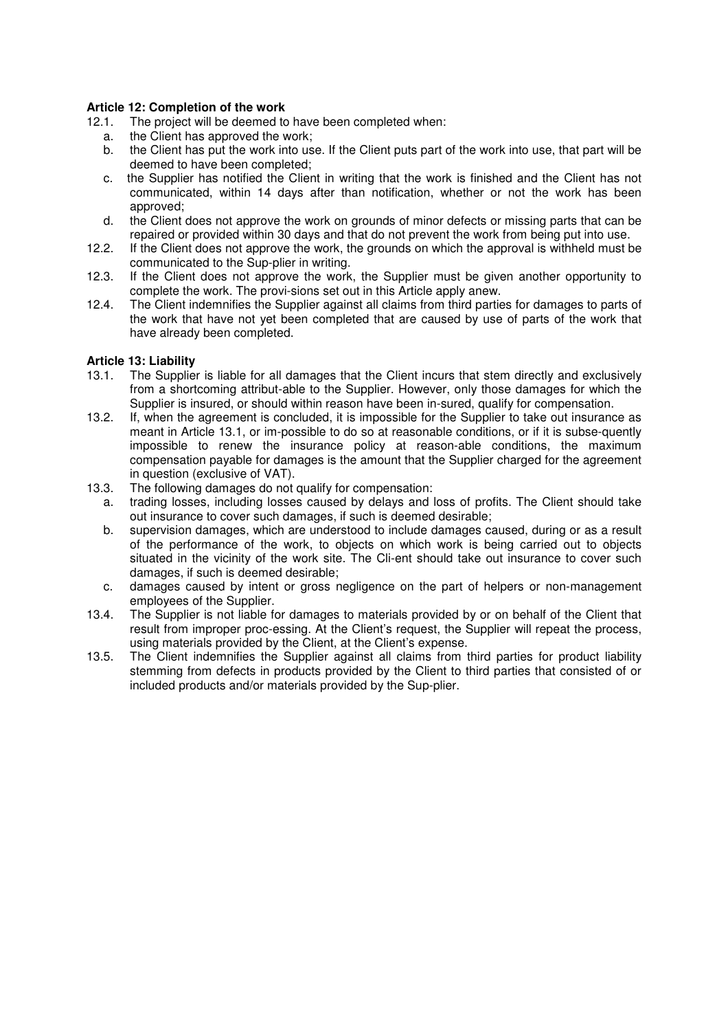# **Article 12: Completion of the work**

- 12.1. The project will be deemed to have been completed when:
	- a. the Client has approved the work;
	- b. the Client has put the work into use. If the Client puts part of the work into use, that part will be deemed to have been completed;
	- c. the Supplier has notified the Client in writing that the work is finished and the Client has not communicated, within 14 days after than notification, whether or not the work has been approved;
- d. the Client does not approve the work on grounds of minor defects or missing parts that can be repaired or provided within 30 days and that do not prevent the work from being put into use.<br>12.2. If the Client does not approve the work, the grounds on which the approval is withheld must b
- If the Client does not approve the work, the grounds on which the approval is withheld must be communicated to the Sup-plier in writing.
- 12.3. If the Client does not approve the work, the Supplier must be given another opportunity to complete the work. The provi-sions set out in this Article apply anew.
- 12.4. The Client indemnifies the Supplier against all claims from third parties for damages to parts of the work that have not yet been completed that are caused by use of parts of the work that have already been completed.

# **Article 13: Liability**

- 13.1. The Supplier is liable for all damages that the Client incurs that stem directly and exclusively from a shortcoming attribut-able to the Supplier. However, only those damages for which the Supplier is insured, or should within reason have been in-sured, qualify for compensation.<br>13.2. If, when the agreement is concluded, it is impossible for the Supplier to take out insurance
- If, when the agreement is concluded, it is impossible for the Supplier to take out insurance as meant in Article 13.1, or im-possible to do so at reasonable conditions, or if it is subse-quently impossible to renew the insurance policy at reason-able conditions, the maximum compensation payable for damages is the amount that the Supplier charged for the agreement in question (exclusive of VAT).
- 13.3. The following damages do not qualify for compensation:
	- a. trading losses, including losses caused by delays and loss of profits. The Client should take out insurance to cover such damages, if such is deemed desirable;
	- b. supervision damages, which are understood to include damages caused, during or as a result of the performance of the work, to objects on which work is being carried out to objects situated in the vicinity of the work site. The Cli-ent should take out insurance to cover such damages, if such is deemed desirable;
	- c. damages caused by intent or gross negligence on the part of helpers or non-management employees of the Supplier.
- 13.4. The Supplier is not liable for damages to materials provided by or on behalf of the Client that result from improper proc-essing. At the Client's request, the Supplier will repeat the process, using materials provided by the Client, at the Client's expense.<br>13.5. The Client indemnifies the Supplier against all claims from t
- The Client indemnifies the Supplier against all claims from third parties for product liability stemming from defects in products provided by the Client to third parties that consisted of or included products and/or materials provided by the Sup-plier.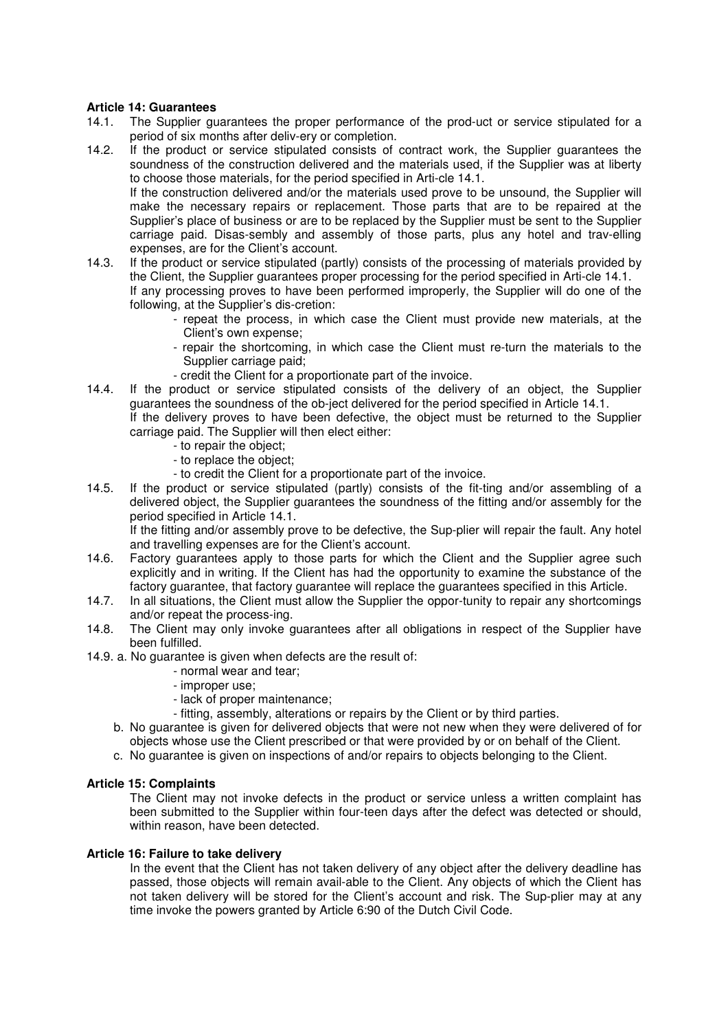# **Article 14: Guarantees**

- 14.1. The Supplier guarantees the proper performance of the prod-uct or service stipulated for a period of six months after deliv-ery or completion.<br>14.2. If the product or service stipulated consists of
- If the product or service stipulated consists of contract work, the Supplier guarantees the soundness of the construction delivered and the materials used, if the Supplier was at liberty to choose those materials, for the period specified in Arti-cle 14.1. If the construction delivered and/or the materials used prove to be unsound, the Supplier will make the necessary repairs or replacement. Those parts that are to be repaired at the Supplier's place of business or are to be replaced by the Supplier must be sent to the Supplier carriage paid. Disas-sembly and assembly of those parts, plus any hotel and trav-elling expenses, are for the Client's account.<br>14.3. If the product or service stipulated (pair
- If the product or service stipulated (partly) consists of the processing of materials provided by the Client, the Supplier guarantees proper processing for the period specified in Arti-cle 14.1. If any processing proves to have been performed improperly, the Supplier will do one of the following, at the Supplier's dis-cretion:
	- repeat the process, in which case the Client must provide new materials, at the Client's own expense;
	- repair the shortcoming, in which case the Client must re-turn the materials to the Supplier carriage paid;
	- credit the Client for a proportionate part of the invoice.
- 14.4. If the product or service stipulated consists of the delivery of an object, the Supplier guarantees the soundness of the ob-ject delivered for the period specified in Article 14.1. If the delivery proves to have been defective, the object must be returned to the Supplier carriage paid. The Supplier will then elect either:
	- to repair the object;
		- to replace the object;
		- to credit the Client for a proportionate part of the invoice.
- 14.5. If the product or service stipulated (partly) consists of the fit-ting and/or assembling of a delivered object, the Supplier guarantees the soundness of the fitting and/or assembly for the period specified in Article 14.1.

 If the fitting and/or assembly prove to be defective, the Sup-plier will repair the fault. Any hotel and travelling expenses are for the Client's account.<br>14.6 Eactory quarantees apply to those parts for which

- Factory guarantees apply to those parts for which the Client and the Supplier agree such explicitly and in writing. If the Client has had the opportunity to examine the substance of the factory guarantee, that factory guarantee will replace the guarantees specified in this Article.
- 14.7. In all situations, the Client must allow the Supplier the oppor-tunity to repair any shortcomings and/or repeat the process-ing.
- 14.8. The Client may only invoke guarantees after all obligations in respect of the Supplier have been fulfilled.
- 14.9. a. No guarantee is given when defects are the result of:
	- normal wear and tear;
	- improper use;
	- lack of proper maintenance;
	- fitting, assembly, alterations or repairs by the Client or by third parties.
	- b. No guarantee is given for delivered objects that were not new when they were delivered of for objects whose use the Client prescribed or that were provided by or on behalf of the Client.
	- c. No guarantee is given on inspections of and/or repairs to objects belonging to the Client.

# **Article 15: Complaints**

 The Client may not invoke defects in the product or service unless a written complaint has been submitted to the Supplier within four-teen days after the defect was detected or should, within reason, have been detected.

#### **Article 16: Failure to take delivery**

In the event that the Client has not taken delivery of any object after the delivery deadline has passed, those objects will remain avail-able to the Client. Any objects of which the Client has not taken delivery will be stored for the Client's account and risk. The Sup-plier may at any time invoke the powers granted by Article 6:90 of the Dutch Civil Code.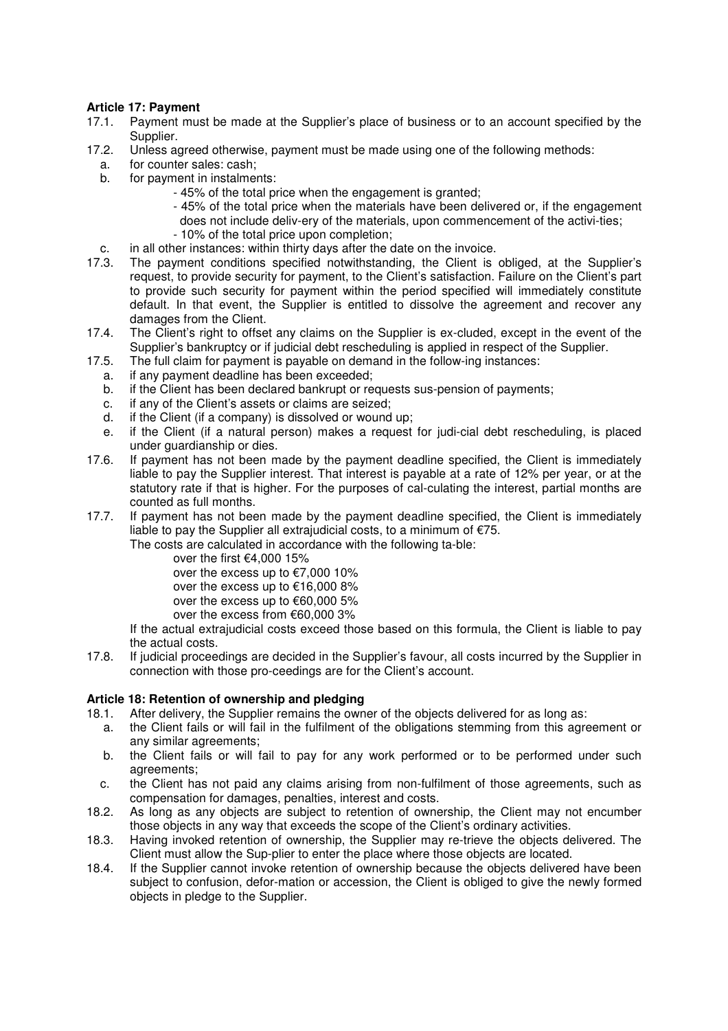# **Article 17: Payment**

- 17.1. Payment must be made at the Supplier's place of business or to an account specified by the Supplier.<br>17.2. Unless a
- Unless agreed otherwise, payment must be made using one of the following methods:
- a. for counter sales: cash;
- b. for payment in instalments:
	- 45% of the total price when the engagement is granted;
	- 45% of the total price when the materials have been delivered or, if the engagement does not include deliv-ery of the materials, upon commencement of the activi-ties;
	- 10% of the total price upon completion;
- c. in all other instances: within thirty days after the date on the invoice.
- 17.3. The payment conditions specified notwithstanding, the Client is obliged, at the Supplier's request, to provide security for payment, to the Client's satisfaction. Failure on the Client's part to provide such security for payment within the period specified will immediately constitute default. In that event, the Supplier is entitled to dissolve the agreement and recover any damages from the Client.<br>17.4 The Client's right to offset
- The Client's right to offset any claims on the Supplier is ex-cluded, except in the event of the Supplier's bankruptcy or if judicial debt rescheduling is applied in respect of the Supplier.
- 17.5. The full claim for payment is payable on demand in the follow-ing instances:
	- a. if any payment deadline has been exceeded;
	- b. if the Client has been declared bankrupt or requests sus-pension of payments;
	- c. if any of the Client's assets or claims are seized;
	- d. if the Client (if a company) is dissolved or wound up;
	- e. if the Client (if a natural person) makes a request for judi-cial debt rescheduling, is placed under guardianship or dies.
- 17.6. If payment has not been made by the payment deadline specified, the Client is immediately liable to pay the Supplier interest. That interest is payable at a rate of 12% per year, or at the statutory rate if that is higher. For the purposes of cal-culating the interest, partial months are counted as full months.<br>17.7. If payment has not bee
- If payment has not been made by the payment deadline specified, the Client is immediately liable to pay the Supplier all extrajudicial costs, to a minimum of  $\epsilon$ 75.

The costs are calculated in accordance with the following ta-ble:

- over the first €4,000 15%
- over the excess up to €7,000 10%
- over the excess up to €16,000 8%
- over the excess up to €60,000 5%
- over the excess from €60,000 3%

If the actual extrajudicial costs exceed those based on this formula, the Client is liable to pay

the actual costs.<br>17.8. If iudicial procee If judicial proceedings are decided in the Supplier's favour, all costs incurred by the Supplier in connection with those pro-ceedings are for the Client's account.

# **Article 18: Retention of ownership and pledging**

- 18.1. After delivery, the Supplier remains the owner of the objects delivered for as long as:
	- a. the Client fails or will fail in the fulfilment of the obligations stemming from this agreement or any similar agreements;
	- b. the Client fails or will fail to pay for any work performed or to be performed under such agreements;
	- c. the Client has not paid any claims arising from non-fulfilment of those agreements, such as compensation for damages, penalties, interest and costs.
- 18.2. As long as any objects are subject to retention of ownership, the Client may not encumber those objects in any way that exceeds the scope of the Client's ordinary activities.
- 18.3. Having invoked retention of ownership, the Supplier may re-trieve the objects delivered. The Client must allow the Sup-plier to enter the place where those objects are located.<br>18.4. If the Supplier cannot invoke retention of ownership because the objects delivered
- If the Supplier cannot invoke retention of ownership because the objects delivered have been subject to confusion, defor-mation or accession, the Client is obliged to give the newly formed objects in pledge to the Supplier.